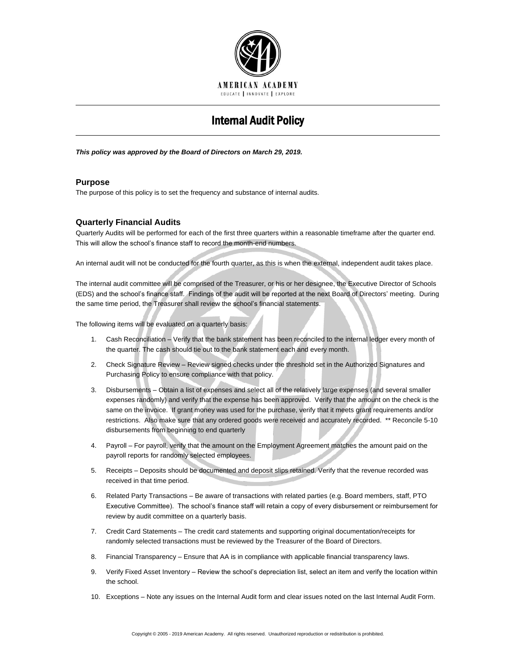

# Internal Audit Policy

#### *This policy was approved by the Board of Directors on March 29, 2019.*

## **Purpose**

The purpose of this policy is to set the frequency and substance of internal audits.

## **Quarterly Financial Audits**

Quarterly Audits will be performed for each of the first three quarters within a reasonable timeframe after the quarter end. This will allow the school's finance staff to record the month-end numbers.

An internal audit will not be conducted for the fourth quarter, as this is when the external, independent audit takes place.

The internal audit committee will be comprised of the Treasurer, or his or her designee, the Executive Director of Schools (EDS) and the school's finance staff. Findings of the audit will be reported at the next Board of Directors' meeting. During the same time period, the Treasurer shall review the school's financial statements.

The following items will be evaluated on a quarterly basis:

- 1. Cash Reconciliation Verify that the bank statement has been reconciled to the internal ledger every month of the quarter. The cash should tie out to the bank statement each and every month.
- 2. Check Signature Review Review signed checks under the threshold set in the Authorized Signatures and Purchasing Policy to ensure compliance with that policy.
- 3. Disbursements Obtain a list of expenses and select all of the relatively large expenses (and several smaller expenses randomly) and verify that the expense has been approved. Verify that the amount on the check is the same on the invoice. If grant money was used for the purchase, verify that it meets grant requirements and/or restrictions. Also make sure that any ordered goods were received and accurately recorded. \*\* Reconcile 5-10 disbursements from beginning to end quarterly
- 4. Payroll For payroll, verify that the amount on the Employment Agreement matches the amount paid on the payroll reports for randomly selected employees.
- 5. Receipts Deposits should be documented and deposit slips retained. Verify that the revenue recorded was received in that time period.
- 6. Related Party Transactions Be aware of transactions with related parties (e.g. Board members, staff, PTO Executive Committee). The school's finance staff will retain a copy of every disbursement or reimbursement for review by audit committee on a quarterly basis.
- 7. Credit Card Statements The credit card statements and supporting original documentation/receipts for randomly selected transactions must be reviewed by the Treasurer of the Board of Directors.
- 8. Financial Transparency Ensure that AA is in compliance with applicable financial transparency laws.
- 9. Verify Fixed Asset Inventory Review the school's depreciation list, select an item and verify the location within the school.
- 10. Exceptions Note any issues on the Internal Audit form and clear issues noted on the last Internal Audit Form.